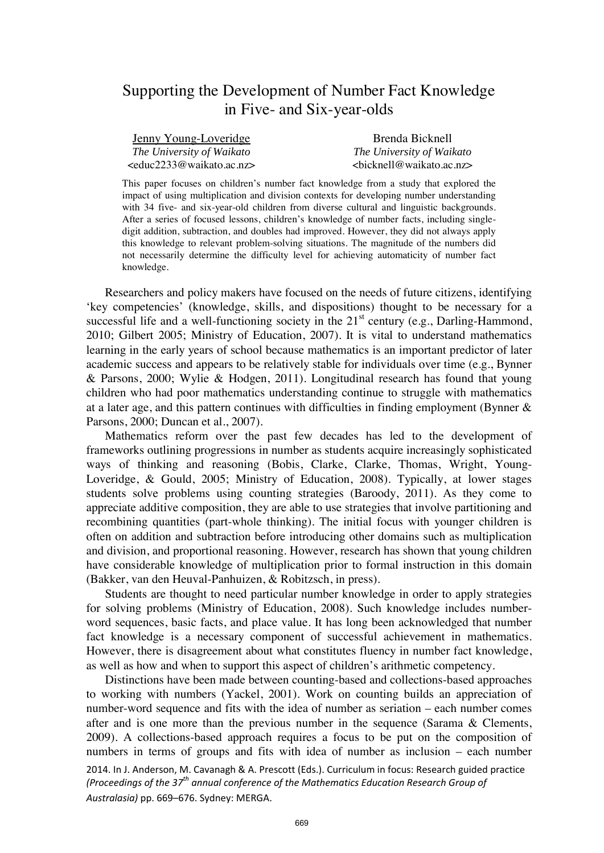# Supporting the Development of Number Fact Knowledge in Five- and Six-year-olds

| <u>Jenny Young-Loveridge</u>                      | Brenda Bicknell                   |
|---------------------------------------------------|-----------------------------------|
| The University of Waikato                         | The University of Waikato         |
| <educ2233@waikato.ac.nz></educ2233@waikato.ac.nz> | $\epsilon$ bicknell@waikato.ac.nz |

This paper focuses on children's number fact knowledge from a study that explored the impact of using multiplication and division contexts for developing number understanding with 34 five- and six-year-old children from diverse cultural and linguistic backgrounds. After a series of focused lessons, children's knowledge of number facts, including singledigit addition, subtraction, and doubles had improved. However, they did not always apply this knowledge to relevant problem-solving situations. The magnitude of the numbers did not necessarily determine the difficulty level for achieving automaticity of number fact knowledge.

Researchers and policy makers have focused on the needs of future citizens, identifying 'key competencies' (knowledge, skills, and dispositions) thought to be necessary for a successful life and a well-functioning society in the  $21<sup>st</sup>$  century (e.g., Darling-Hammond, 2010; Gilbert 2005; Ministry of Education, 2007). It is vital to understand mathematics learning in the early years of school because mathematics is an important predictor of later academic success and appears to be relatively stable for individuals over time (e.g., Bynner & Parsons, 2000; Wylie & Hodgen, 2011). Longitudinal research has found that young children who had poor mathematics understanding continue to struggle with mathematics at a later age, and this pattern continues with difficulties in finding employment (Bynner & Parsons, 2000; Duncan et al., 2007).

Mathematics reform over the past few decades has led to the development of frameworks outlining progressions in number as students acquire increasingly sophisticated ways of thinking and reasoning (Bobis, Clarke, Clarke, Thomas, Wright, Young-Loveridge, & Gould, 2005; Ministry of Education, 2008). Typically, at lower stages students solve problems using counting strategies (Baroody, 2011). As they come to appreciate additive composition, they are able to use strategies that involve partitioning and recombining quantities (part-whole thinking). The initial focus with younger children is often on addition and subtraction before introducing other domains such as multiplication and division, and proportional reasoning. However, research has shown that young children have considerable knowledge of multiplication prior to formal instruction in this domain (Bakker, van den Heuval-Panhuizen, & Robitzsch, in press).

Students are thought to need particular number knowledge in order to apply strategies for solving problems (Ministry of Education, 2008). Such knowledge includes numberword sequences, basic facts, and place value. It has long been acknowledged that number fact knowledge is a necessary component of successful achievement in mathematics. However, there is disagreement about what constitutes fluency in number fact knowledge, as well as how and when to support this aspect of children's arithmetic competency.

2014. In J. Anderson, M. Cavanagh & A. Prescott (Eds.). Curriculum in focus: Research guided practice *(Proceedings of the 37th annual conference of the Mathematics Education Research Group of Australasia)* pp. 669–676. Sydney: MERGA. Distinctions have been made between counting-based and collections-based approaches to working with numbers (Yackel, 2001). Work on counting builds an appreciation of number-word sequence and fits with the idea of number as seriation – each number comes after and is one more than the previous number in the sequence (Sarama & Clements, 2009). A collections-based approach requires a focus to be put on the composition of numbers in terms of groups and fits with idea of number as inclusion – each number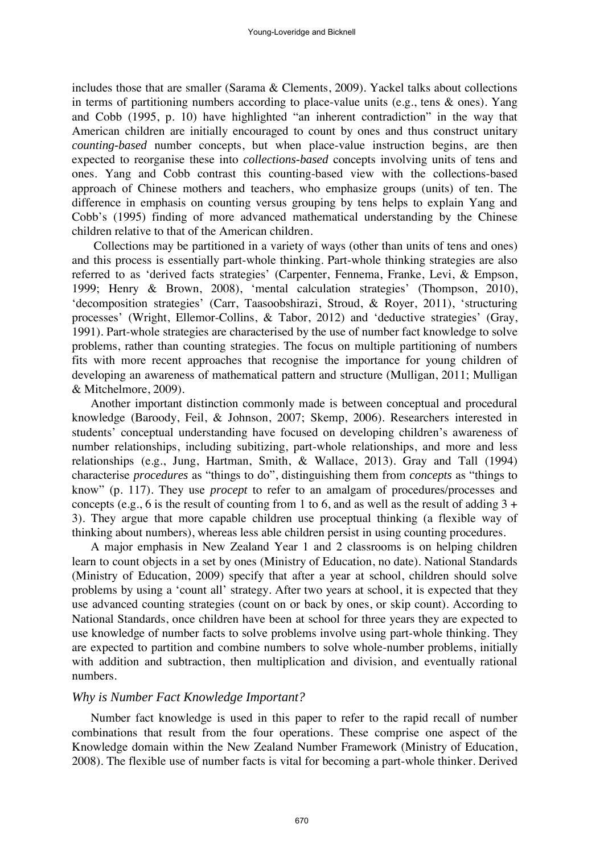includes those that are smaller (Sarama & Clements, 2009). Yackel talks about collections in terms of partitioning numbers according to place-value units (e.g., tens & ones). Yang and Cobb (1995, p. 10) have highlighted "an inherent contradiction" in the way that American children are initially encouraged to count by ones and thus construct unitary *counting-based* number concepts, but when place-value instruction begins, are then expected to reorganise these into *collections-based* concepts involving units of tens and ones. Yang and Cobb contrast this counting-based view with the collections-based approach of Chinese mothers and teachers, who emphasize groups (units) of ten. The difference in emphasis on counting versus grouping by tens helps to explain Yang and Cobb's (1995) finding of more advanced mathematical understanding by the Chinese children relative to that of the American children.

Collections may be partitioned in a variety of ways (other than units of tens and ones) and this process is essentially part-whole thinking. Part-whole thinking strategies are also referred to as 'derived facts strategies' (Carpenter, Fennema, Franke, Levi, & Empson, 1999; Henry & Brown, 2008), 'mental calculation strategies' (Thompson, 2010), 'decomposition strategies' (Carr, Taasoobshirazi, Stroud, & Royer, 2011), 'structuring processes' (Wright, Ellemor-Collins, & Tabor, 2012) and 'deductive strategies' (Gray, 1991). Part-whole strategies are characterised by the use of number fact knowledge to solve problems, rather than counting strategies. The focus on multiple partitioning of numbers fits with more recent approaches that recognise the importance for young children of developing an awareness of mathematical pattern and structure (Mulligan, 2011; Mulligan & Mitchelmore, 2009).

Another important distinction commonly made is between conceptual and procedural knowledge (Baroody, Feil, & Johnson, 2007; Skemp, 2006). Researchers interested in students' conceptual understanding have focused on developing children's awareness of number relationships, including subitizing, part-whole relationships, and more and less relationships (e.g., Jung, Hartman, Smith, & Wallace, 2013). Gray and Tall (1994) characterise *procedures* as "things to do", distinguishing them from *concepts* as "things to know" (p. 117). They use *procept* to refer to an amalgam of procedures/processes and concepts (e.g., 6 is the result of counting from 1 to 6, and as well as the result of adding  $3 +$ 3). They argue that more capable children use proceptual thinking (a flexible way of thinking about numbers), whereas less able children persist in using counting procedures.

A major emphasis in New Zealand Year 1 and 2 classrooms is on helping children learn to count objects in a set by ones (Ministry of Education, no date). National Standards (Ministry of Education, 2009) specify that after a year at school, children should solve problems by using a 'count all' strategy. After two years at school, it is expected that they use advanced counting strategies (count on or back by ones, or skip count). According to National Standards, once children have been at school for three years they are expected to use knowledge of number facts to solve problems involve using part-whole thinking. They are expected to partition and combine numbers to solve whole-number problems, initially with addition and subtraction, then multiplication and division, and eventually rational numbers.

## *Why is Number Fact Knowledge Important?*

Number fact knowledge is used in this paper to refer to the rapid recall of number combinations that result from the four operations. These comprise one aspect of the Knowledge domain within the New Zealand Number Framework (Ministry of Education, 2008). The flexible use of number facts is vital for becoming a part-whole thinker. Derived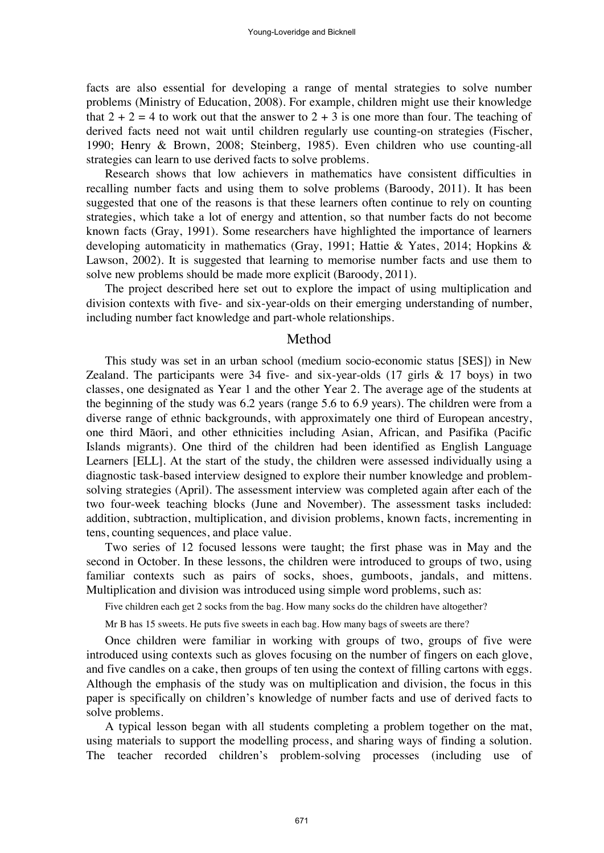facts are also essential for developing a range of mental strategies to solve number problems (Ministry of Education, 2008). For example, children might use their knowledge that  $2 + 2 = 4$  to work out that the answer to  $2 + 3$  is one more than four. The teaching of derived facts need not wait until children regularly use counting-on strategies (Fischer, 1990; Henry & Brown, 2008; Steinberg, 1985). Even children who use counting-all strategies can learn to use derived facts to solve problems.

Research shows that low achievers in mathematics have consistent difficulties in recalling number facts and using them to solve problems (Baroody, 2011). It has been suggested that one of the reasons is that these learners often continue to rely on counting strategies, which take a lot of energy and attention, so that number facts do not become known facts (Gray, 1991). Some researchers have highlighted the importance of learners developing automaticity in mathematics (Gray, 1991; Hattie & Yates, 2014; Hopkins & Lawson, 2002). It is suggested that learning to memorise number facts and use them to solve new problems should be made more explicit (Baroody, 2011).

The project described here set out to explore the impact of using multiplication and division contexts with five- and six-year-olds on their emerging understanding of number, including number fact knowledge and part-whole relationships.

## Method

This study was set in an urban school (medium socio-economic status [SES]) in New Zealand. The participants were 34 five- and six-year-olds  $(17 \text{ girls} \& 17 \text{ boys})$  in two classes, one designated as Year 1 and the other Year 2. The average age of the students at the beginning of the study was 6.2 years (range 5.6 to 6.9 years). The children were from a diverse range of ethnic backgrounds, with approximately one third of European ancestry, one third Māori, and other ethnicities including Asian, African, and Pasifika (Pacific Islands migrants). One third of the children had been identified as English Language Learners [ELL]. At the start of the study, the children were assessed individually using a diagnostic task-based interview designed to explore their number knowledge and problemsolving strategies (April). The assessment interview was completed again after each of the two four-week teaching blocks (June and November). The assessment tasks included: addition, subtraction, multiplication, and division problems, known facts, incrementing in tens, counting sequences, and place value.

Two series of 12 focused lessons were taught; the first phase was in May and the second in October. In these lessons, the children were introduced to groups of two, using familiar contexts such as pairs of socks, shoes, gumboots, jandals, and mittens. Multiplication and division was introduced using simple word problems, such as:

Five children each get 2 socks from the bag. How many socks do the children have altogether?

Mr B has 15 sweets. He puts five sweets in each bag. How many bags of sweets are there?

Once children were familiar in working with groups of two, groups of five were introduced using contexts such as gloves focusing on the number of fingers on each glove, and five candles on a cake, then groups of ten using the context of filling cartons with eggs. Although the emphasis of the study was on multiplication and division, the focus in this paper is specifically on children's knowledge of number facts and use of derived facts to solve problems.

A typical lesson began with all students completing a problem together on the mat, using materials to support the modelling process, and sharing ways of finding a solution. The teacher recorded children's problem-solving processes (including use of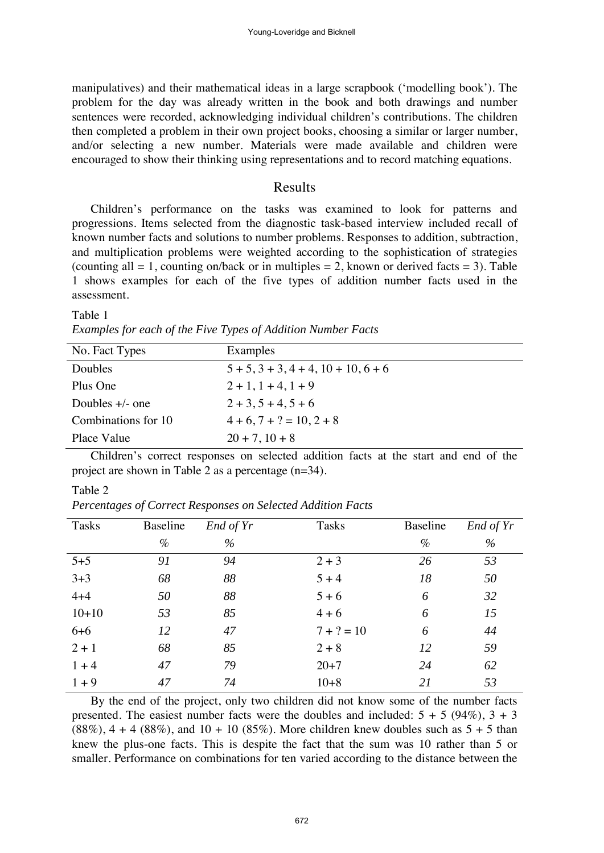manipulatives) and their mathematical ideas in a large scrapbook ('modelling book'). The problem for the day was already written in the book and both drawings and number sentences were recorded, acknowledging individual children's contributions. The children then completed a problem in their own project books, choosing a similar or larger number, and/or selecting a new number. Materials were made available and children were encouraged to show their thinking using representations and to record matching equations.

# Results

Children's performance on the tasks was examined to look for patterns and progressions. Items selected from the diagnostic task-based interview included recall of known number facts and solutions to number problems. Responses to addition, subtraction, and multiplication problems were weighted according to the sophistication of strategies (counting all  $= 1$ , counting on/back or in multiples  $= 2$ , known or derived facts  $= 3$ ). Table 1 shows examples for each of the five types of addition number facts used in the assessment.

#### Table 1

*Examples for each of the Five Types of Addition Number Facts* 

| No. Fact Types      | Examples                                          |
|---------------------|---------------------------------------------------|
| Doubles             | $5 + 5$ , $3 + 3$ , $4 + 4$ , $10 + 10$ , $6 + 6$ |
| Plus One            | $2 + 1$ , $1 + 4$ , $1 + 9$                       |
| Doubles $+/-$ one   | $2 + 3, 5 + 4, 5 + 6$                             |
| Combinations for 10 | $4+6$ , $7+? = 10$ , $2+8$                        |
| Place Value         | $20 + 7$ , $10 + 8$                               |

Children's correct responses on selected addition facts at the start and end of the project are shown in Table 2 as a percentage (n=34).

#### Table 2

*Percentages of Correct Responses on Selected Addition Facts* 

| <b>Tasks</b> | Baseline | End of Yr | <b>Tasks</b> | Baseline | End of Yr |
|--------------|----------|-----------|--------------|----------|-----------|
|              | $\%$     | $\%$      |              | $\%$     | $\%$      |
| $5 + 5$      | 91       | 94        | $2 + 3$      | 26       | 53        |
| $3 + 3$      | 68       | 88        | $5 + 4$      | 18       | 50        |
| $4 + 4$      | 50       | 88        | $5 + 6$      | 6        | 32        |
| $10+10$      | 53       | 85        | $4 + 6$      | 6        | 15        |
| $6 + 6$      | 12       | 47        | $7 + ? = 10$ | 6        | 44        |
| $2 + 1$      | 68       | 85        | $2 + 8$      | 12       | 59        |
| $1 + 4$      | 47       | 79        | $20 + 7$     | 24       | 62        |
| $1 + 9$      | 47       | 74        | $10 + 8$     | 21       | 53        |

By the end of the project, only two children did not know some of the number facts presented. The easiest number facts were the doubles and included:  $5 + 5 (94\%)$ ,  $3 + 3$  $(88\%)$ , 4 + 4  $(88\%)$ , and 10 + 10  $(85\%)$ . More children knew doubles such as 5 + 5 than knew the plus-one facts. This is despite the fact that the sum was 10 rather than 5 or smaller. Performance on combinations for ten varied according to the distance between the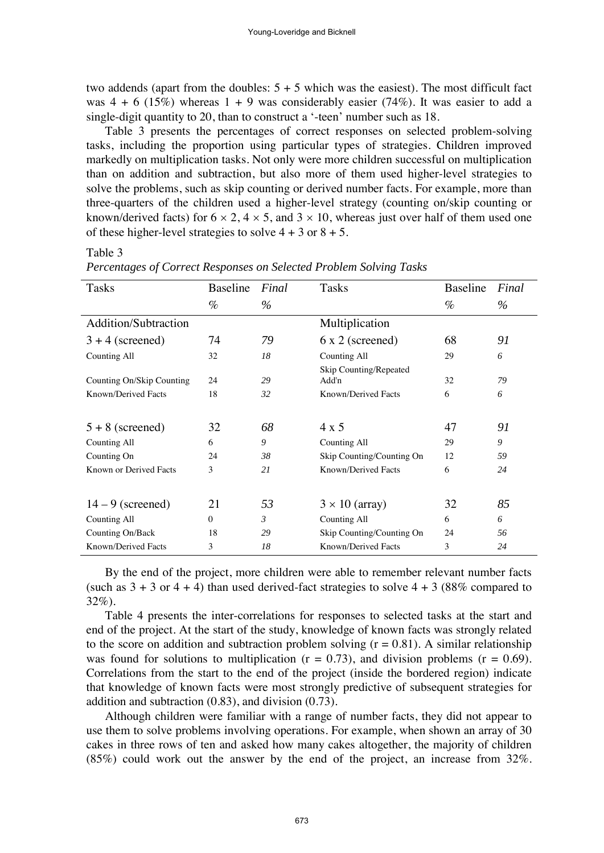two addends (apart from the doubles:  $5 + 5$  which was the easiest). The most difficult fact was  $4 + 6$  (15%) whereas  $1 + 9$  was considerably easier (74%). It was easier to add a single-digit quantity to 20, than to construct a '-teen' number such as 18.

Table 3 presents the percentages of correct responses on selected problem-solving tasks, including the proportion using particular types of strategies. Children improved markedly on multiplication tasks. Not only were more children successful on multiplication than on addition and subtraction, but also more of them used higher-level strategies to solve the problems, such as skip counting or derived number facts. For example, more than three-quarters of the children used a higher-level strategy (counting on/skip counting or known/derived facts) for  $6 \times 2$ ,  $4 \times 5$ , and  $3 \times 10$ , whereas just over half of them used one of these higher-level strategies to solve  $4 + 3$  or  $8 + 5$ .

### Table 3

| Tasks                       | <b>Baseline</b> | Final | Tasks                     | Baseline | Final |
|-----------------------------|-----------------|-------|---------------------------|----------|-------|
|                             |                 |       |                           |          |       |
|                             | $\%$            | $\%$  |                           | $\%$     | $\%$  |
| <b>Addition/Subtraction</b> |                 |       | Multiplication            |          |       |
| $3 + 4$ (screened)          | 74              | 79    | 6 x 2 (screened)          | 68       | 91    |
| Counting All                | 32              | 18    | Counting All              | 29       | 6     |
|                             |                 |       | Skip Counting/Repeated    |          |       |
| Counting On/Skip Counting   | 24              | 29    | Add'n                     | 32       | 79    |
| Known/Derived Facts         | 18              | 32    | Known/Derived Facts       | 6        | 6     |
|                             |                 |       |                           |          |       |
| $5 + 8$ (screened)          | 32              | 68    | 4 x 5                     | 47       | 91    |
| Counting All                | 6               | 9     | <b>Counting All</b>       | 29       | 9     |
| Counting On                 | 24              | 38    | Skip Counting/Counting On | 12       | 59    |
| Known or Derived Facts      | 3               | 21    | Known/Derived Facts       | 6        | 24    |
|                             |                 |       |                           |          |       |
| $14 - 9$ (screened)         | 21              | 53    | $3 \times 10$ (array)     | 32       | 85    |
| Counting All                | $\Omega$        | 3     | Counting All              | 6        | 6     |
| Counting On/Back            | 18              | 29    | Skip Counting/Counting On | 24       | 56    |
| Known/Derived Facts         | 3               | 18    | Known/Derived Facts       | 3        | 24    |

*Percentages of Correct Responses on Selected Problem Solving Tasks* 

By the end of the project, more children were able to remember relevant number facts (such as  $3 + 3$  or  $4 + 4$ ) than used derived-fact strategies to solve  $4 + 3$  (88% compared to 32%).

Table 4 presents the inter-correlations for responses to selected tasks at the start and end of the project. At the start of the study, knowledge of known facts was strongly related to the score on addition and subtraction problem solving  $(r = 0.81)$ . A similar relationship was found for solutions to multiplication  $(r = 0.73)$ , and division problems  $(r = 0.69)$ . Correlations from the start to the end of the project (inside the bordered region) indicate that knowledge of known facts were most strongly predictive of subsequent strategies for addition and subtraction (0.83), and division (0.73).

Although children were familiar with a range of number facts, they did not appear to use them to solve problems involving operations. For example, when shown an array of 30 cakes in three rows of ten and asked how many cakes altogether, the majority of children (85%) could work out the answer by the end of the project, an increase from 32%.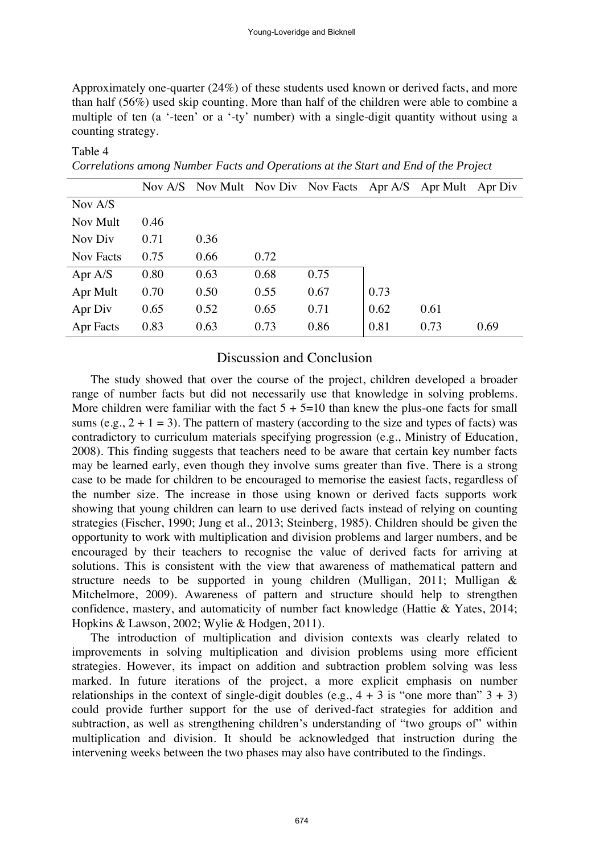Approximately one-quarter (24%) of these students used known or derived facts, and more than half (56%) used skip counting. More than half of the children were able to combine a multiple of ten (a '-teen' or a '-ty' number) with a single-digit quantity without using a counting strategy.

| Correntend through theme or I were then operations the meet that <b>E</b> lia of the I roject |      |      |      |                                                             |      |      |      |
|-----------------------------------------------------------------------------------------------|------|------|------|-------------------------------------------------------------|------|------|------|
|                                                                                               |      |      |      | Nov A/S Nov Mult Nov Div Nov Facts Apr A/S Apr Mult Apr Div |      |      |      |
| Nov A/S                                                                                       |      |      |      |                                                             |      |      |      |
| Nov Mult                                                                                      | 0.46 |      |      |                                                             |      |      |      |
| Nov Div                                                                                       | 0.71 | 0.36 |      |                                                             |      |      |      |
| Nov Facts                                                                                     | 0.75 | 0.66 | 0.72 |                                                             |      |      |      |
| Apr $A/S$                                                                                     | 0.80 | 0.63 | 0.68 | 0.75                                                        |      |      |      |
| Apr Mult                                                                                      | 0.70 | 0.50 | 0.55 | 0.67                                                        | 0.73 |      |      |
| Apr Div                                                                                       | 0.65 | 0.52 | 0.65 | 0.71                                                        | 0.62 | 0.61 |      |
| Apr Facts                                                                                     | 0.83 | 0.63 | 0.73 | 0.86                                                        | 0.81 | 0.73 | 0.69 |

*Correlations among Number Facts and Operations at the Start and End of the Project* 

Table 4

# Discussion and Conclusion

The study showed that over the course of the project, children developed a broader range of number facts but did not necessarily use that knowledge in solving problems. More children were familiar with the fact  $5 + 5=10$  than knew the plus-one facts for small sums (e.g.,  $2 + 1 = 3$ ). The pattern of mastery (according to the size and types of facts) was contradictory to curriculum materials specifying progression (e.g., Ministry of Education, 2008). This finding suggests that teachers need to be aware that certain key number facts may be learned early, even though they involve sums greater than five. There is a strong case to be made for children to be encouraged to memorise the easiest facts, regardless of the number size. The increase in those using known or derived facts supports work showing that young children can learn to use derived facts instead of relying on counting strategies (Fischer, 1990; Jung et al., 2013; Steinberg, 1985). Children should be given the opportunity to work with multiplication and division problems and larger numbers, and be encouraged by their teachers to recognise the value of derived facts for arriving at solutions. This is consistent with the view that awareness of mathematical pattern and structure needs to be supported in young children (Mulligan, 2011; Mulligan & Mitchelmore, 2009). Awareness of pattern and structure should help to strengthen confidence, mastery, and automaticity of number fact knowledge (Hattie & Yates, 2014; Hopkins & Lawson, 2002; Wylie & Hodgen, 2011).

The introduction of multiplication and division contexts was clearly related to improvements in solving multiplication and division problems using more efficient strategies. However, its impact on addition and subtraction problem solving was less marked. In future iterations of the project, a more explicit emphasis on number relationships in the context of single-digit doubles (e.g.,  $4 + 3$  is "one more than"  $3 + 3$ ) could provide further support for the use of derived-fact strategies for addition and subtraction, as well as strengthening children's understanding of "two groups of" within multiplication and division. It should be acknowledged that instruction during the intervening weeks between the two phases may also have contributed to the findings.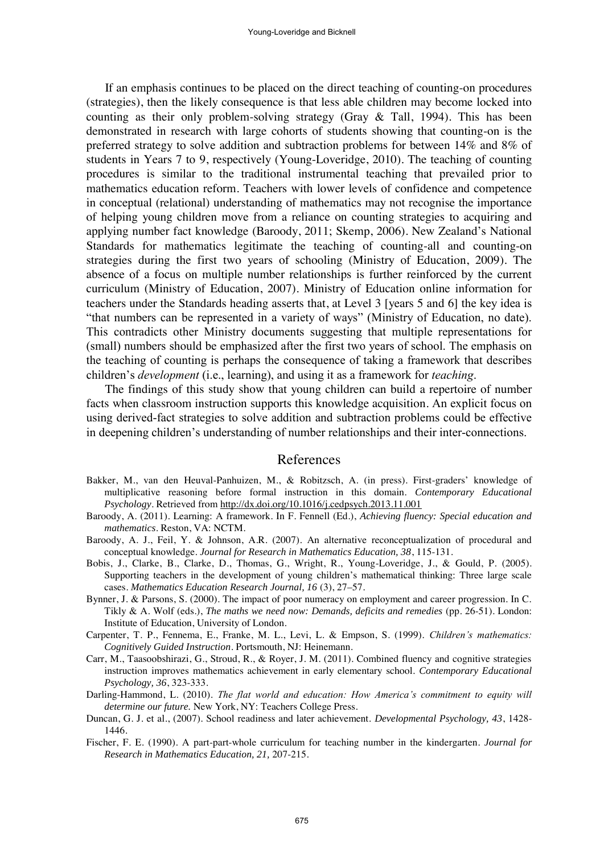If an emphasis continues to be placed on the direct teaching of counting-on procedures (strategies), then the likely consequence is that less able children may become locked into counting as their only problem-solving strategy (Gray & Tall, 1994). This has been demonstrated in research with large cohorts of students showing that counting-on is the preferred strategy to solve addition and subtraction problems for between 14% and 8% of students in Years 7 to 9, respectively (Young-Loveridge, 2010). The teaching of counting procedures is similar to the traditional instrumental teaching that prevailed prior to mathematics education reform. Teachers with lower levels of confidence and competence in conceptual (relational) understanding of mathematics may not recognise the importance of helping young children move from a reliance on counting strategies to acquiring and applying number fact knowledge (Baroody, 2011; Skemp, 2006). New Zealand's National Standards for mathematics legitimate the teaching of counting-all and counting-on strategies during the first two years of schooling (Ministry of Education, 2009). The absence of a focus on multiple number relationships is further reinforced by the current curriculum (Ministry of Education, 2007). Ministry of Education online information for teachers under the Standards heading asserts that, at Level 3 [years 5 and 6] the key idea is "that numbers can be represented in a variety of ways" (Ministry of Education, no date). This contradicts other Ministry documents suggesting that multiple representations for (small) numbers should be emphasized after the first two years of school. The emphasis on the teaching of counting is perhaps the consequence of taking a framework that describes children's *development* (i.e., learning), and using it as a framework for *teaching*.

The findings of this study show that young children can build a repertoire of number facts when classroom instruction supports this knowledge acquisition. An explicit focus on using derived-fact strategies to solve addition and subtraction problems could be effective in deepening children's understanding of number relationships and their inter-connections.

## References

- Bakker, M., van den Heuval-Panhuizen, M., & Robitzsch, A. (in press). First-graders' knowledge of multiplicative reasoning before formal instruction in this domain. *Contemporary Educational Psychology*. Retrieved from http://dx.doi.org/10.1016/j.cedpsych.2013.11.001
- Baroody, A. (2011). Learning: A framework. In F. Fennell (Ed.), *Achieving fluency: Special education and mathematics*. Reston, VA: NCTM.
- Baroody, A. J., Feil, Y. & Johnson, A.R. (2007). An alternative reconceptualization of procedural and conceptual knowledge. *Journal for Research in Mathematics Education, 38*, 115-131.
- Bobis, J., Clarke, B., Clarke, D., Thomas, G., Wright, R., Young-Loveridge, J., & Gould, P. (2005). Supporting teachers in the development of young children's mathematical thinking: Three large scale cases. *Mathematics Education Research Journal, 16* (3), 27–57.
- Bynner, J. & Parsons, S. (2000). The impact of poor numeracy on employment and career progression. In C. Tikly & A. Wolf (eds.), *The maths we need now: Demands, deficits and remedies* (pp. 26-51). London: Institute of Education, University of London.
- Carpenter, T. P., Fennema, E., Franke, M. L., Levi, L. & Empson, S. (1999). *Children's mathematics: Cognitively Guided Instruction*. Portsmouth, NJ: Heinemann.
- Carr, M., Taasoobshirazi, G., Stroud, R., & Royer, J. M. (2011). Combined fluency and cognitive strategies instruction improves mathematics achievement in early elementary school. *Contemporary Educational Psychology, 36*, 323-333.
- Darling-Hammond, L. (2010). *The flat world and education: How America's commitment to equity will determine our future.* New York, NY: Teachers College Press.
- Duncan, G. J. et al., (2007). School readiness and later achievement. *Developmental Psychology, 43*, 1428- 1446.
- Fischer, F. E. (1990). A part-part-whole curriculum for teaching number in the kindergarten. *Journal for Research in Mathematics Education, 21,* 207-215.